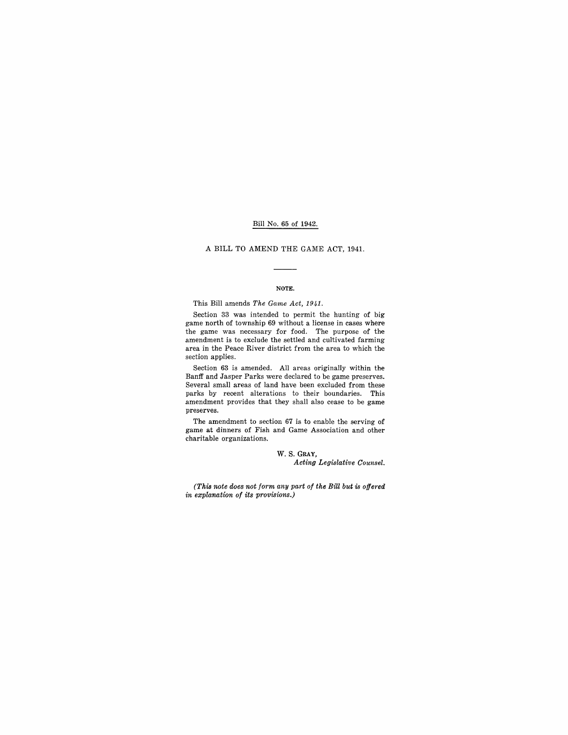# Bill No. 65 of 1942.

## A BILL TO AMEND THE GAME ACT, 1941.

#### NOTE.

This Bill amends *The Game Act, 1941.* 

Section 33 was intended to permit the hunting of big game north of township 69 without a license in cases where the game was necessary for food. The purpose of the amendment is to exclude the settled and cultivated farming area in the Peace River district from the area to which the section applies.

Section 63 is amended. All areas originally within the Banff and Jasper Parks were declared to be game preserves. Several small areas of land have been excluded from these parks by recent alterations to their boundaries. This amendment provides that they shall also cease to be game preserves.

The amendment to section 67 is to enable the serving of game at dinners of Fish and Game Association and other charitable organizations.

> w. S. GRAY, *Acting Legislative Counsel.*

*(This note does not form any part of the Bill but is offered in explanation of its provisions.)*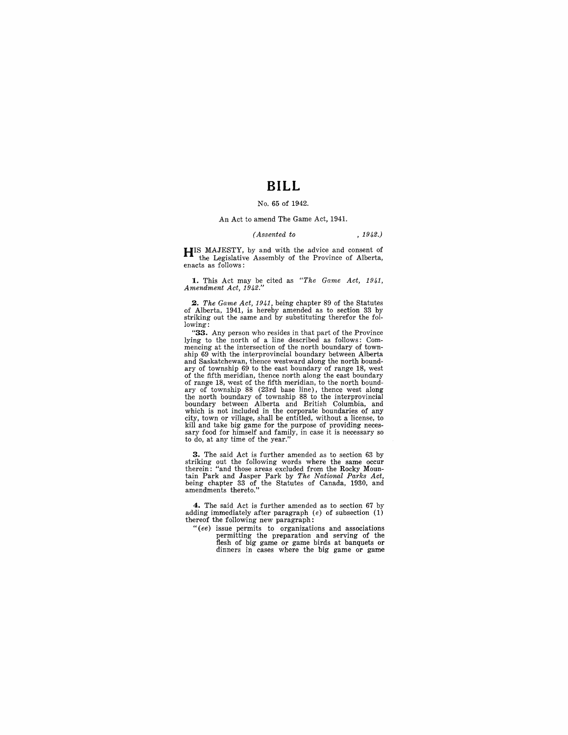# **BILL**

### No. 65 of 1942.

### An Act to amend The Game Act, 1941.

#### *(Assented to* , 1942')

**HIS MAJESTY**, by and with the advice and consent of the Legislative Assembly of the Province of Alberta, enacts as follows:

**1.** This Act may be cited as "The Game Act, 1941, Amendment Act, 1942."

*2. The Game Act,* 1941, being chapter 89 of the Statutes of Alberta, 1941, is hereby amended as to section 33 by striking out the same and by substituting therefor the following:

"33. Any person who resides in that part of the Province lying to the north of a line described as follows: Com-mencing at the intersection of the north boundary of township 69 with the interprovincial boundary between Alberta<br>and Saskatchewan, thence westward along the north bound-<br>ary of township 69 to the east boundary of range 18, west<br>of the fifth meridian, thence north along the eas of range 18, west of the fifth meridian, to the north boundary of township 88 (23rd base line), thence west along<br>the north boundary of township 88 to the interprovincial<br>boundary between Alberta and British Columbia, and which is not included in the corporate boundaries of any city, town or village, shall be entitled, without a license, to kill and take big game for the purpose of providing neces-<br>sary food for himself and family, in case it is necessary so<br>to do, at any time of the year."

**3.** The said Act is further amended as to section 63 by striking out the following words where the same occur therein: "and those areas excluded from the Rocky Mountain Park and Jasper Park by *The National Parks Act,*  being chapter 33 of the Statutes of Canada, 1930, and amendments thereto."

**4.** The said Act is further amended as to section 67 by adding immediately after paragraph  $(e)$  of subsection  $(1)$ thereof the following new paragraph:

*"(ee)* issue permits to organizations and associations permitting the preparation and serving of the flesh of big game or game birds at banquets or dinners in cases where the big game or game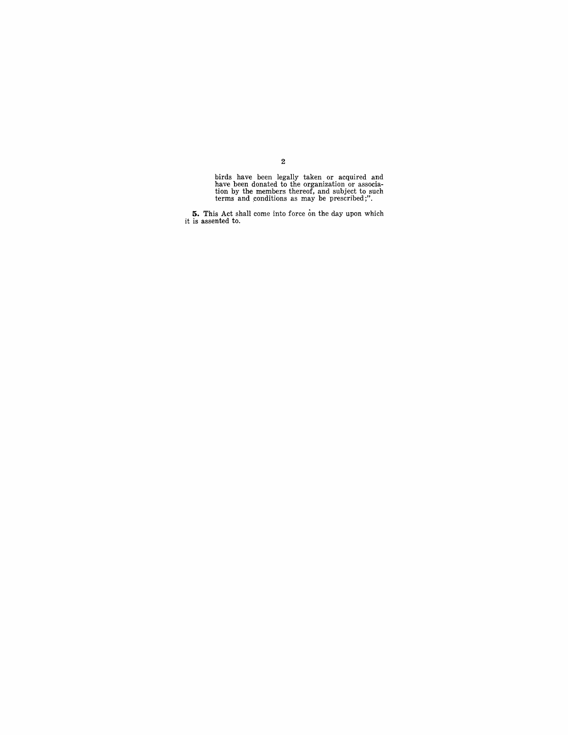birds have been legally taken or acquired and have been donated to the organization or association by the members thereof, and subject to such terms and conditions as may be prescribed;".

**5.** This Act shall come into force on the day upon which it is assented to.

2